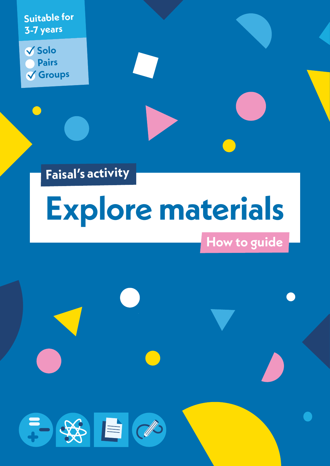**Suitable for 3-7 years**

**Solo Pairs Groups**

**Faisal's activity**

子好目の

# **Explore materials**

# **How to guide**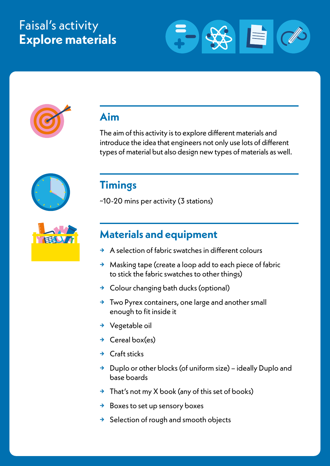# Faisal's activity **Explore materials**





## **Aim**

The aim of this activity is to explore different materials and introduce the idea that engineers not only use lots of different types of material but also design new types of materials as well.





## **Timings**

~10-20 mins per activity (3 stations)

## **Materials and equipment**

- **→** A selection of fabric swatches in different colours
- **→** Masking tape (create a loop add to each piece of fabric to stick the fabric swatches to other things)
- **→** Colour changing bath ducks (optional)
- **→** Two Pyrex containers, one large and another small enough to fit inside it
- **→** Vegetable oil
- **→** Cereal box(es)
- **→** Craft sticks
- **→** Duplo or other blocks (of uniform size) ideally Duplo and base boards
- **→** That's not my X book (any of this set of books)
- **→** Boxes to set up sensory boxes
- **→** Selection of rough and smooth objects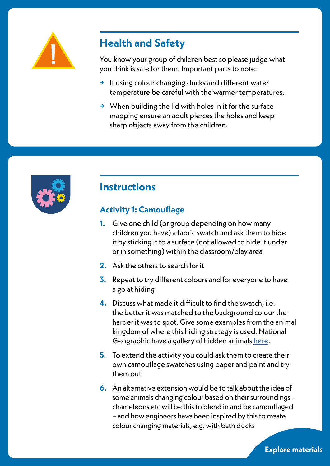

# **Health and Safety**

You know your group of children best so please judge what you think is safe for them. Important parts to note:

- **→** If using colour changing ducks and different water temperature be careful with the warmer temperatures.
- **→** When building the lid with holes in it for the surface mapping ensure an adult pierces the holes and keep sharp objects away from the children.



## **Instructions**

## **Activity 1: Camouflage**

- **1.** Give one child (or group depending on how many children you have) a fabric swatch and ask them to hide it by sticking it to a surface (not allowed to hide it under or in something) within the classroom/play area
- **2.** Ask the others to search for it
- **3.** Repeat to try different colours and for everyone to have a go at hiding
- **4.** Discuss what made it difficult to find the swatch, i.e. the better it was matched to the background colour the harder it was to spot. Give some examples from the animal kingdom of where this hiding strategy is used. National Geographic have a gallery of hidden animals [here.](https://kids.nationalgeographic.com/wacky-weekend/article/hidden-animals)
- **5.** To extend the activity you could ask them to create their own camouflage swatches using paper and paint and try them out
- **6.** An alternative extension would be to talk about the idea of some animals changing colour based on their surroundings – chameleons etc will be this to blend in and be camouflaged – and how engineers have been inspired by this to create colour changing materials, e.g. with bath ducks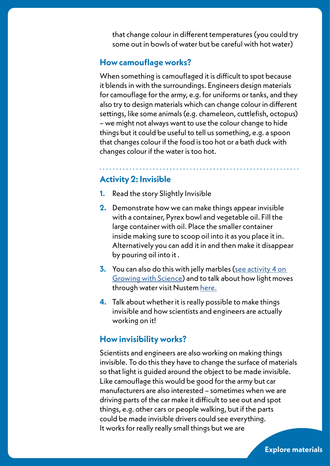that change colour in different temperatures (you could try some out in bowls of water but be careful with hot water)

#### **How camouflage works?**

When something is camouflaged it is difficult to spot because it blends in with the surroundings. Engineers design materials for camouflage for the army, e.g. for uniforms or tanks, and they also try to design materials which can change colour in different settings, like some animals (e.g. chameleon, cuttlefish, octopus) – we might not always want to use the colour change to hide things but it could be useful to tell us something, e.g. a spoon that changes colour if the food is too hot or a bath duck with changes colour if the water is too hot.

. . . . . . . . . . . . . . .

### **Activity 2: Invisible**

- **1.** Read the story Slightly Invisible
- **2.** Demonstrate how we can make things appear invisible with a container, Pyrex bowl and vegetable oil. Fill the large container with oil. Place the smaller container inside making sure to scoop oil into it as you place it in. Alternatively you can add it in and then make it disappear by pouring oil into it .
- **3.** You can also do this with jelly marbles [\(see activity 4 on](https://blog.growingwithscience.com/2012/01/becoming-invisible-from-camouflage-to-cloaks/)  [Growing with Science\)](https://blog.growingwithscience.com/2012/01/becoming-invisible-from-camouflage-to-cloaks/) and to talk about how light moves through water visit Nustem here.
- **4.** Talk about whether it is really possible to make things invisible and how scientists and engineers are actually working on it!

#### **How invisibility works?**

Scientists and engineers are also working on making things invisible. To do this they have to change the surface of materials so that light is guided around the object to be made invisible. Like camouflage this would be good for the army but car manufacturers are also interested – sometimes when we are driving parts of the car make it difficult to see out and spot things, e.g. other cars or people walking, but if the parts could be made invisible drivers could see everything. It works for really really small things but we are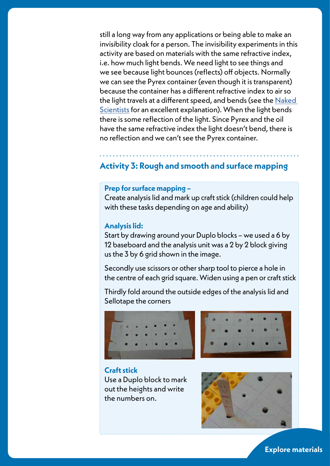still a long way from any applications or being able to make an invisibility cloak for a person. The invisibility experiments in this activity are based on materials with the same refractive index, i.e. how much light bends. We need light to see things and we see because light bounces (reflects) off objects. Normally we can see the Pyrex container (even though it is transparent) because the container has a different refractive index to air so the light travels at a different speed, and bends (see the N[aked](https://www.thenakedscientists.com/get-naked/experiments/making-pyrex-invisible)  [Scientist](https://www.thenakedscientists.com/get-naked/experiments/making-pyrex-invisible)s for an excellent explanation). When the light bends there is some reflection of the light. Since Pyrex and the oil have the same refractive index the light doesn't bend, there is no reflection and we can't see the Pyrex container.

## **Activity 3: Rough and smooth and surface mapping**

#### **Prep for surface mapping –**

Create analysis lid and mark up craft stick (children could help with these tasks depending on age and ability)

#### **Analysis lid:**

Start by drawing around your Duplo blocks – we used a 6 by 12 baseboard and the analysis unit was a 2 by 2 block giving us the 3 by 6 grid shown in the image.

Secondly use scissors or other sharp tool to pierce a hole in the centre of each grid square. Widen using a pen or craft stick

Thirdly fold around the outside edges of the analysis lid and Sellotape the corners





#### **Craft stick**

Use a Duplo block to mark out the heights and write the numbers on.

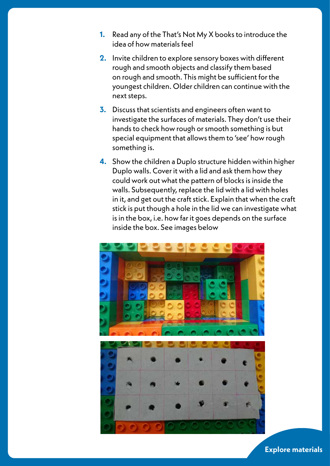- **1.** Read any of the That's Not My X books to introduce the idea of how materials feel
- **2.** Invite children to explore sensory boxes with different rough and smooth objects and classify them based on rough and smooth. This might be sufficient for the youngest children. Older children can continue with the next steps.
- **3.** Discuss that scientists and engineers often want to investigate the surfaces of materials. They don't use their hands to check how rough or smooth something is but special equipment that allows them to 'see' how rough something is.
- **4.** Show the children a Duplo structure hidden within higher Duplo walls. Cover it with a lid and ask them how they could work out what the pattern of blocks is inside the walls. Subsequently, replace the lid with a lid with holes in it, and get out the craft stick. Explain that when the craft stick is put though a hole in the lid we can investigate what is in the box, i.e. how far it goes depends on the surface inside the box. See images below

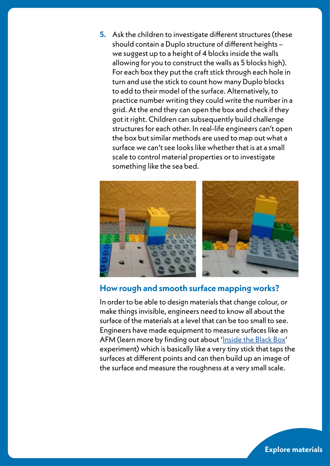**5.** Ask the children to investigate different structures (these should contain a Duplo structure of different heights – we suggest up to a height of 4 blocks inside the walls allowing for you to construct the walls as 5 blocks high). For each box they put the craft stick through each hole in turn and use the stick to count how many Duplo blocks to add to their model of the surface. Alternatively, to practice number writing they could write the number in a grid. At the end they can open the box and check if they got it right. Children can subsequently build challenge structures for each other. In real-life engineers can't open the box but similar methods are used to map out what a surface we can't see looks like whether that is at a small scale to control material properties or to investigate something like the sea bed.



#### **How rough and smooth surface mapping works?**

In order to be able to design materials that change colour, or make things invisible, engineers need to know all about the surface of the materials at a level that can be too small to see. Engineers have made equipment to measure surfaces like an AFM (learn more by finding out about '[Inside the Black Box](https://chem.beloit.edu/edetc/reprints/ST_0612_46.pdf)' experiment) which is basically like a very tiny stick that taps the surfaces at different points and can then build up an image of the surface and measure the roughness at a very small scale.